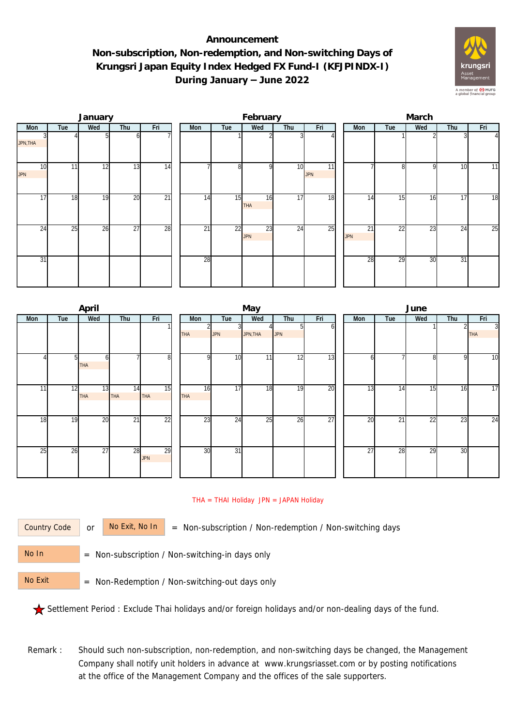## **Announcement Non-subscription, Non-redemption, and Non-switching Days of Krungsri Japan Equity Index Hedged FX Fund-I (KFJPINDX-I) During January – June 2022**



|                               |     | January |                 |                 | February |                 |                |                  |     |                               | March |                  |                 |              |     |                 |  |
|-------------------------------|-----|---------|-----------------|-----------------|----------|-----------------|----------------|------------------|-----|-------------------------------|-------|------------------|-----------------|--------------|-----|-----------------|--|
| Mon                           | Tue | Wed     | Thu             | Fri             |          | Mon             | Tue            | Wed              | Thu | Fri                           |       | Mon              | Tue             | Wed          | Thu | Fri             |  |
| JPN, THA                      |     |         |                 |                 |          |                 |                |                  |     |                               |       |                  |                 |              |     | $\Delta$        |  |
| 10 <sup>1</sup><br><b>JPN</b> | 11  | 12      | $1\overline{3}$ | 14              |          |                 | 8 <sup>1</sup> | οI               | 10  | $\overline{11}$<br><b>JPN</b> |       |                  | 8               | $\mathsf{Q}$ | 10  | 11              |  |
| 17                            | 18  | 19      | 20              | $\overline{21}$ |          | 14              | 15             | 16<br><b>THA</b> | 17  | 18                            |       | 14               | 15              | 16           | 17  | $\overline{18}$ |  |
| 24                            | 25  | 26      | $\overline{27}$ | 28              |          | $\overline{21}$ | 22             | 23<br><b>JPN</b> | 24  | 25                            |       | 21<br><b>JPN</b> | $\overline{22}$ | 23           | 24  | 25              |  |
| 31                            |     |         |                 |                 |          | 28              |                |                  |     |                               |       | 28               | 29              | 30           | 31  |                 |  |

|                |     | April      |     |                 |            | June            |          |            |                 |  |                 |     |     |     |                |
|----------------|-----|------------|-----|-----------------|------------|-----------------|----------|------------|-----------------|--|-----------------|-----|-----|-----|----------------|
| Mon            | Tue | Wed        | Thu | Fri             | Mon        | Tue             | Wed      | Thu        | Fri             |  | Mon             | Tue | Wed | Thu | Fri            |
|                |     |            |     |                 |            | 31              |          | 51         | b               |  |                 |     |     |     | $\overline{3}$ |
|                |     |            |     |                 | <b>THA</b> | <b>JPN</b>      | JPN, THA | <b>JPN</b> |                 |  |                 |     |     |     | <b>THA</b>     |
|                |     |            |     |                 |            |                 |          |            |                 |  |                 |     |     |     |                |
| $\overline{4}$ |     | ω          |     | 8               | n          | 10              | 11       | 12         | 13              |  | b               |     | 8   | 9   | 10             |
|                |     | <b>THA</b> |     |                 |            |                 |          |            |                 |  |                 |     |     |     |                |
|                |     |            |     |                 |            |                 |          |            |                 |  |                 |     |     |     |                |
|                |     |            |     |                 |            |                 |          |            |                 |  |                 |     |     |     |                |
| 11             | 12  | 13         | 14  | 15              | 16         | 17              | 18       | 19         | 20              |  | 13              | 14  | 15  | 16  | 17             |
|                |     | <b>THA</b> | THA | THA             | THA        |                 |          |            |                 |  |                 |     |     |     |                |
|                |     |            |     |                 |            |                 |          |            |                 |  |                 |     |     |     |                |
| 18             | 19  | 20         | 21  | $\overline{22}$ | 23         | 24              | 25       | 26         | $\overline{27}$ |  | 20              | 21  | 22  | 23  | 24             |
|                |     |            |     |                 |            |                 |          |            |                 |  |                 |     |     |     |                |
|                |     |            |     |                 |            |                 |          |            |                 |  |                 |     |     |     |                |
|                |     |            |     |                 |            |                 |          |            |                 |  |                 |     |     |     |                |
| 25             | 26  | 27         | 28  | 29              | 30         | $\overline{31}$ |          |            |                 |  | $\overline{27}$ | 28  | 29  | 30  |                |
|                |     |            |     | <b>JPN</b>      |            |                 |          |            |                 |  |                 |     |     |     |                |
|                |     |            |     |                 |            |                 |          |            |                 |  |                 |     |     |     |                |
|                |     |            |     |                 |            |                 |          |            |                 |  |                 |     |     |     |                |

## THA = THAI Holiday JPN = JAPAN Holiday

Country Code

or  $\overline{\phantom{a}}$  No Exit, No In  $\overline{\phantom{a}}$  = Non-subscription / Non-redemption / Non-switching days

 = Non-subscription / Non-switching-in days only No In

 = Non-Redemption / Non-switching-out days only No Exit

Settlement Period : Exclude Thai holidays and/or foreign holidays and/or non-dealing days of the fund.

Remark : Should such non-subscription, non-redemption, and non-switching days be changed, the Management Company shall notify unit holders in advance at www.krungsriasset.com or by posting notifications at the office of the Management Company and the offices of the sale supporters.